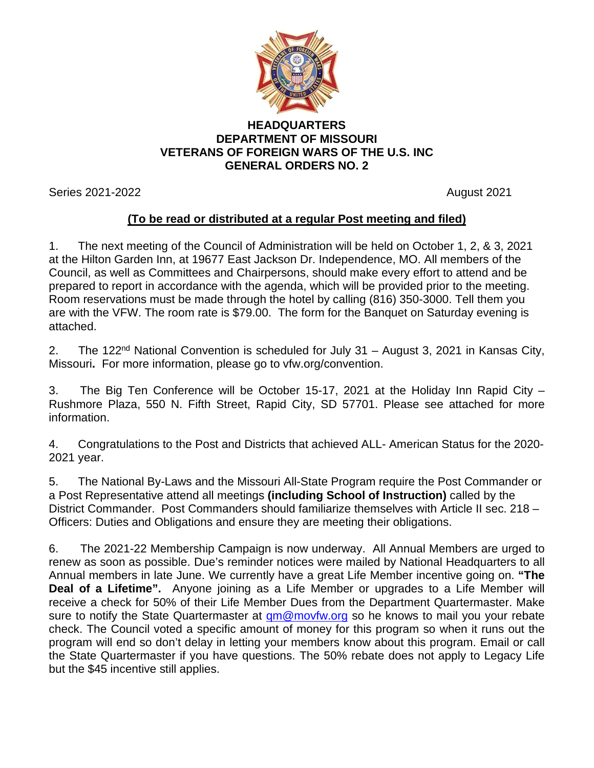

## **HEADQUARTERS DEPARTMENT OF MISSOURI VETERANS OF FOREIGN WARS OF THE U.S. INC GENERAL ORDERS NO. 2**

Series 2021-2022 August 2021

## **(To be read or distributed at a regular Post meeting and filed)**

1. The next meeting of the Council of Administration will be held on October 1, 2, & 3, 2021 at the Hilton Garden Inn, at 19677 East Jackson Dr. Independence, MO. All members of the Council, as well as Committees and Chairpersons, should make every effort to attend and be prepared to report in accordance with the agenda, which will be provided prior to the meeting. Room reservations must be made through the hotel by calling (816) 350-3000. Tell them you are with the VFW. The room rate is \$79.00. The form for the Banquet on Saturday evening is attached.

2. The 122<sup>nd</sup> National Convention is scheduled for July 31 – August 3, 2021 in Kansas City, Missouri**.** For more information, please go to vfw.org/convention.

3. The Big Ten Conference will be October 15-17, 2021 at the Holiday Inn Rapid City – Rushmore Plaza, 550 N. Fifth Street, Rapid City, SD 57701. Please see attached for more information.

4. Congratulations to the Post and Districts that achieved ALL- American Status for the 2020- 2021 year.

5. The National By-Laws and the Missouri All-State Program require the Post Commander or a Post Representative attend all meetings **(including School of Instruction)** called by the District Commander. Post Commanders should familiarize themselves with Article II sec. 218 – Officers: Duties and Obligations and ensure they are meeting their obligations.

6. The 2021-22 Membership Campaign is now underway. All Annual Members are urged to renew as soon as possible. Due's reminder notices were mailed by National Headquarters to all Annual members in late June. We currently have a great Life Member incentive going on. **"The Deal of a Lifetime".** Anyone joining as a Life Member or upgrades to a Life Member will receive a check for 50% of their Life Member Dues from the Department Quartermaster. Make sure to notify the State Quartermaster at  $qm@movfw.org$  so he knows to mail you your rebate check. The Council voted a specific amount of money for this program so when it runs out the program will end so don't delay in letting your members know about this program. Email or call the State Quartermaster if you have questions. The 50% rebate does not apply to Legacy Life but the \$45 incentive still applies.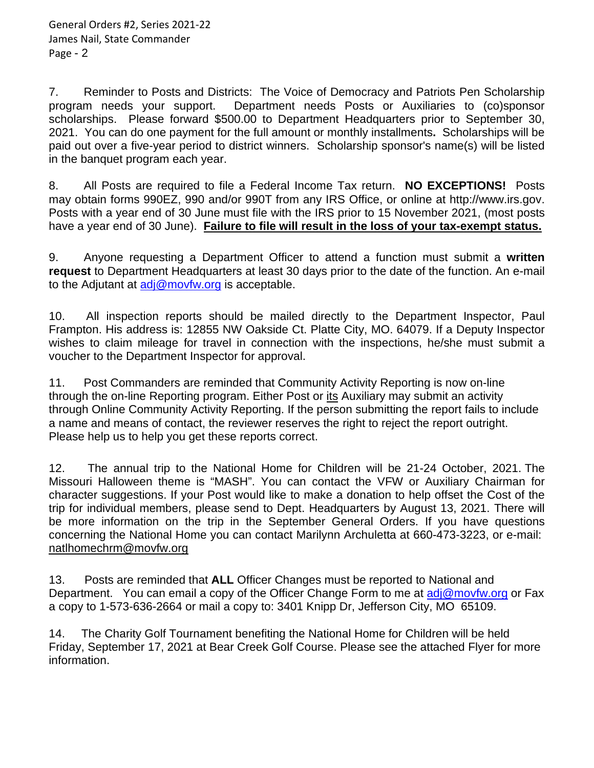7. Reminder to Posts and Districts: The Voice of Democracy and Patriots Pen Scholarship program needs your support. Department needs Posts or Auxiliaries to (co)sponsor scholarships. Please forward \$500.00 to Department Headquarters prior to September 30, 2021. You can do one payment for the full amount or monthly installments**.** Scholarships will be paid out over a five-year period to district winners. Scholarship sponsor's name(s) will be listed in the banquet program each year.

8. All Posts are required to file a Federal Income Tax return. **NO EXCEPTIONS!** Posts may obtain forms 990EZ, 990 and/or 990T from any IRS Office, or online at http://www.irs.gov. Posts with a year end of 30 June must file with the IRS prior to 15 November 2021, (most posts have a year end of 30 June). **Failure to file will result in the loss of your tax-exempt status.**

9. Anyone requesting a Department Officer to attend a function must submit a **written request** to Department Headquarters at least 30 days prior to the date of the function. An e-mail to the Adjutant at  $\frac{adj@movfw.org}{complement}$  is acceptable.

10. All inspection reports should be mailed directly to the Department Inspector, Paul Frampton. His address is: 12855 NW Oakside Ct. Platte City, MO. 64079. If a Deputy Inspector wishes to claim mileage for travel in connection with the inspections, he/she must submit a voucher to the Department Inspector for approval.

11. Post Commanders are reminded that Community Activity Reporting is now on-line through the on-line Reporting program. Either Post or its Auxiliary may submit an activity through Online Community Activity Reporting. If the person submitting the report fails to include a name and means of contact, the reviewer reserves the right to reject the report outright. Please help us to help you get these reports correct.

12. The annual trip to the National Home for Children will be 21-24 October, 2021. The Missouri Halloween theme is "MASH". You can contact the VFW or Auxiliary Chairman for character suggestions. If your Post would like to make a donation to help offset the Cost of the trip for individual members, please send to Dept. Headquarters by August 13, 2021. There will be more information on the trip in the September General Orders. If you have questions concerning the National Home you can contact Marilynn Archuletta at 660-473-3223, or e-mail: [natlhomechrm@movfw.org](mailto:natlhomechrm@movfw.org)

13. Posts are reminded that **ALL** Officer Changes must be reported to National and Department. You can email a copy of the Officer Change Form to me at [adj@movfw.org](mailto:adj@movfw.org) or Fax a copy to 1-573-636-2664 or mail a copy to: 3401 Knipp Dr, Jefferson City, MO 65109.

14. The Charity Golf Tournament benefiting the National Home for Children will be held Friday, September 17, 2021 at Bear Creek Golf Course. Please see the attached Flyer for more information.